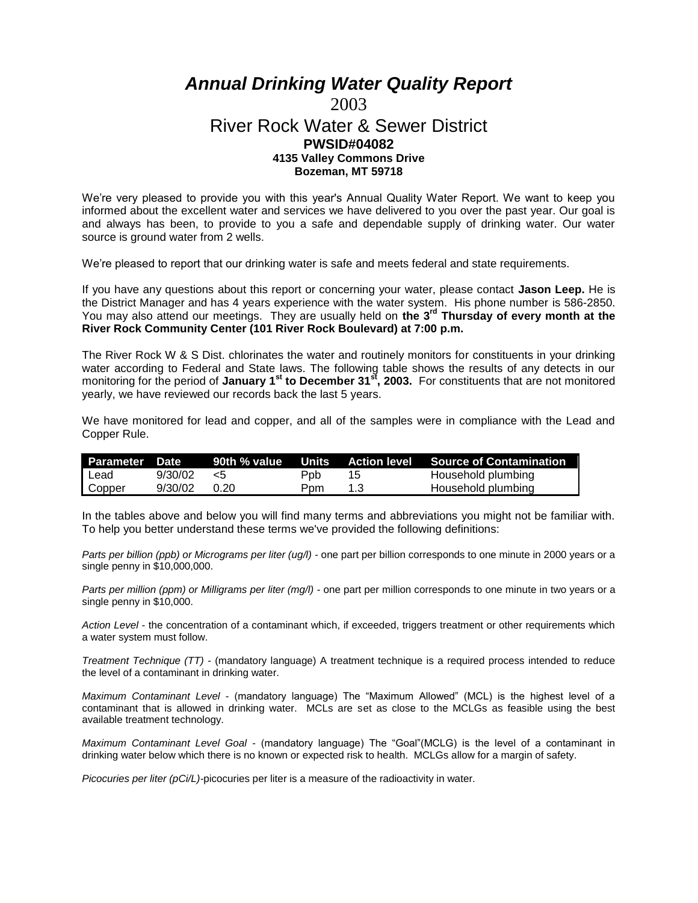## *Annual Drinking Water Quality Report*

## 2003 River Rock Water & Sewer District **PWSID#04082 4135 Valley Commons Drive Bozeman, MT 59718**

We're very pleased to provide you with this year's Annual Quality Water Report. We want to keep you informed about the excellent water and services we have delivered to you over the past year. Our goal is and always has been, to provide to you a safe and dependable supply of drinking water. Our water source is ground water from 2 wells.

We're pleased to report that our drinking water is safe and meets federal and state requirements.

If you have any questions about this report or concerning your water, please contact **Jason Leep.** He is the District Manager and has 4 years experience with the water system. His phone number is 586-2850. You may also attend our meetings. They are usually held on **the 3rd Thursday of every month at the River Rock Community Center (101 River Rock Boulevard) at 7:00 p.m.**

The River Rock W & S Dist. chlorinates the water and routinely monitors for constituents in your drinking water according to Federal and State laws. The following table shows the results of any detects in our monitoring for the period of **January 1st to December 31st, 2003.** For constituents that are not monitored yearly, we have reviewed our records back the last 5 years.

We have monitored for lead and copper, and all of the samples were in compliance with the Lead and Copper Rule.

| Parameter Date |                |      |     |     | 90th % value Units Action level Source of Contamination |
|----------------|----------------|------|-----|-----|---------------------------------------------------------|
| I Lead         | 9/30/02        | - 15 | Ppb | 15  | Household plumbing                                      |
| Copper         | $9/30/02$ 0.20 |      | Ppm | 1.3 | Household plumbing                                      |

In the tables above and below you will find many terms and abbreviations you might not be familiar with. To help you better understand these terms we've provided the following definitions:

*Parts per billion (ppb) or Micrograms per liter (ug/l)* - one part per billion corresponds to one minute in 2000 years or a single penny in \$10,000,000.

*Parts per million (ppm) or Milligrams per liter (mg/l)* - one part per million corresponds to one minute in two years or a single penny in \$10,000.

*Action Level* - the concentration of a contaminant which, if exceeded, triggers treatment or other requirements which a water system must follow.

*Treatment Technique (TT)* - (mandatory language) A treatment technique is a required process intended to reduce the level of a contaminant in drinking water.

*Maximum Contaminant Level* - (mandatory language) The "Maximum Allowed" (MCL) is the highest level of a contaminant that is allowed in drinking water. MCLs are set as close to the MCLGs as feasible using the best available treatment technology.

*Maximum Contaminant Level Goal* - (mandatory language) The "Goal"(MCLG) is the level of a contaminant in drinking water below which there is no known or expected risk to health. MCLGs allow for a margin of safety.

*Picocuries per liter (pCi/L)-*picocuries per liter is a measure of the radioactivity in water.